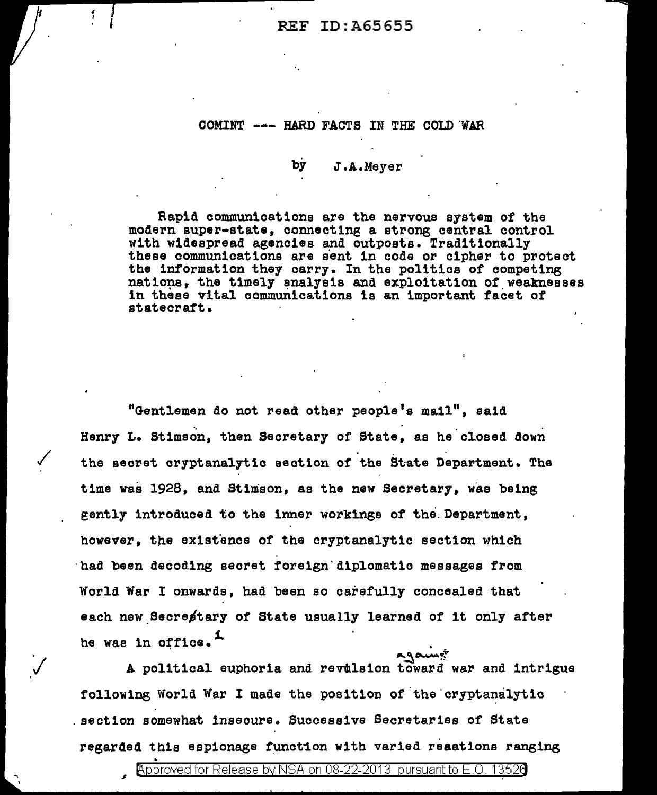#### COMINT --- HARD FACTS IN THE COLD WAR

#### by J .A.Meyer

Rapid communications are the nervous system of the modern super-state, connecting a strong central control with widespread agencies and outposts. Traditionally these communications are sent in code or cipher to protect<br>the information they carry. In the politics of competing nations, the timely analysis and exploitation of weaknesses in these vital communications is an important facet of statecraft.

"Gentlemen do not read other people 1s mail", said Henry L. Stimson, then Secretary of State, as he closed down the secret cryptanalytic section of the State Department. The time was 1928, and Stimson, as the new Secretary, was being gently introduced to the inner workings of the.Department, however, the existence of the cryptanalytic section which ·had been decoding secret fore1gn'd1p1omat1c messages from World War I onwards, had been so carefully concealed that each new Secrestary of State usually learned of it only after he was in office. $\ddot{ }$ 

A political euphoria and revulsion toward war and intrigue following World War I made the position of the cryptanalytic . section somewhat insecure. Successive Secretaries of State regarded this espionage function with varied reaations ranging .  $\frac{1}{2}$  . Approved for Release by NSA on 08-22-2013 pursuant to E.O. 1352a

..

.<br>V

' I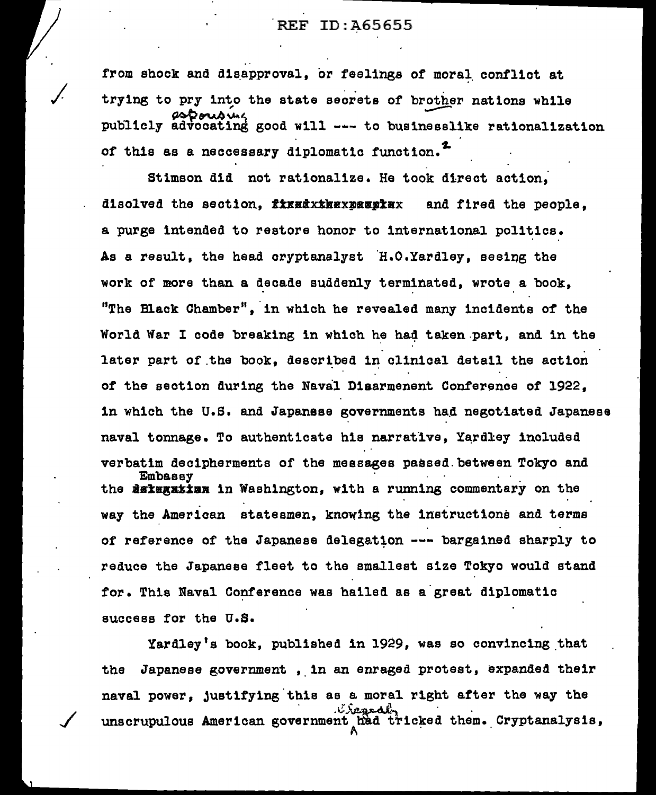from shock and disapproval, or feelings of moral conflict at trying to pry into the state secrets of brother nations while , ---- ~~""''1 pubi1cly advocating good will --- to businesslike rationa11zat1on of this as a neccessary diplomatic function.<sup>2</sup>

 $\sqrt{\frac{1}{2}}$ 

/

Stimson did not rationalize. Ha took direct action; disolved the section, fixxdxxkexxxxxxxxx and fired the people. a purge intended to restore honor to international politics. As a result, the head cryptanalyst H.O.Yardley, seeing the work of more than a decade sudden1y terminated, wrote a book, "The Black Chamber", in which he revealed many incidents of the World War I code breaking in which he had taken part, and in the later part of the book, described in clinical detail the action of the section during the Naval Diaarmenent Conference of 1922, in which the U.S. and Japanese governments had negotiated Japanese naval tonnage. To authenticate his narrative, Yardley included verbatim decipherments of the messages passed.between Tokyo and the de**regation in Washington, with a running commentary on the** way the American statesmen, knowing the instructions and terms of reference of the Japanese delegation --- bargained sharply to reduce the Japanese fleet to the smallest size Tokyo would stand for. This Naval Conference was hailed as a great diplomatic success for the U.S.

Yardley's book, published in 1929, was so convincing that the Japanese government, in an enraged protest, expanded their naval power, justifying this as a moral right after the way the ... unscrupulous American government had tricked them. Cryptanalysis,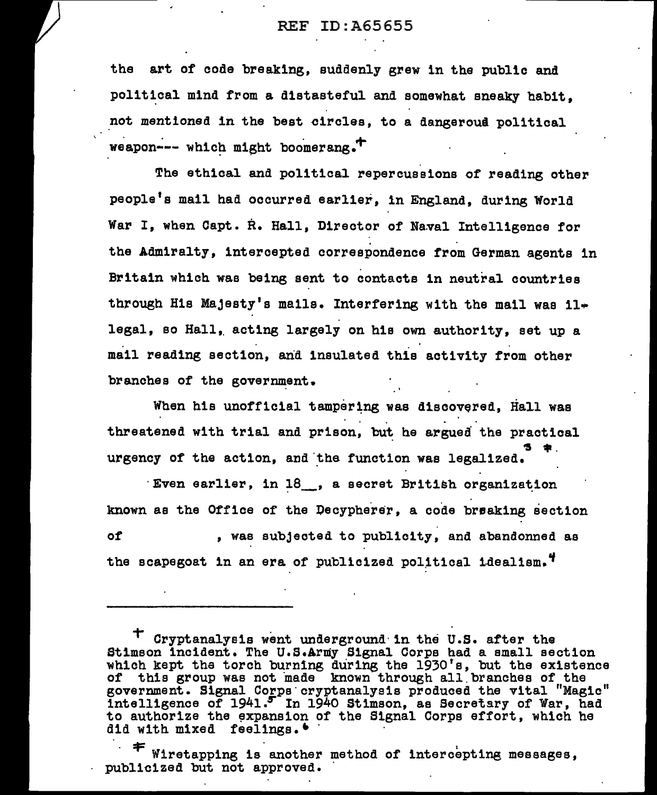the art of coda breaking, suddenly grew in the public and political mind from a distasteful and somewhat sneaky habit, not mentioned in the best circles, to a dangeroua political weapon--- which might boomerang. $^+$ 

The ethical and political repercussions of reading other people's mail had occurred earlier, in England, during World War I, when Capt. R. Hall, Director of Naval Intelligence for the Admiralty, intercepted correspondence from German agents in Britain which was being sent to contacts in neutral countries through His Majesty's mails. Interfering with the mail was  $11$ legal, so Hall, acting largely on his own authority, set up a mail reading section, and insulated this activity from other branches of the government.

When his unofficial tampering was discovered, Hall was threatened with trial and prison, but he argued the practical auuiu<br>**3** 年. urgency of the action, and 'the function was lega1ized.

 $\mathbf{F}$ ven earlier, in  $18$ , a secret British organization known as the Office of the Decypherer, a code breaking section of , was subjected to publicity, and abandonned as the scapegoat in an era of publicized political idealism.<sup>4</sup>

Wiretapping is another method of intercepting messages, publicized but not approved.

T Cryptanalysis went underground· in the U.S. after the Stimson incident. The U.S.Army Signal Corps had a small section which kept the torch burning during the 1930's, but the existence of this group was not made known through all branches of the government. Signal Corps· cryptanalysis produced the vital "Magic" intelligence of 1941.5 In 1940 Stimson, as Secretary of War, had to authorize the expansion of the Signal Corps effort, which he did with mixed feelings.  $\bullet$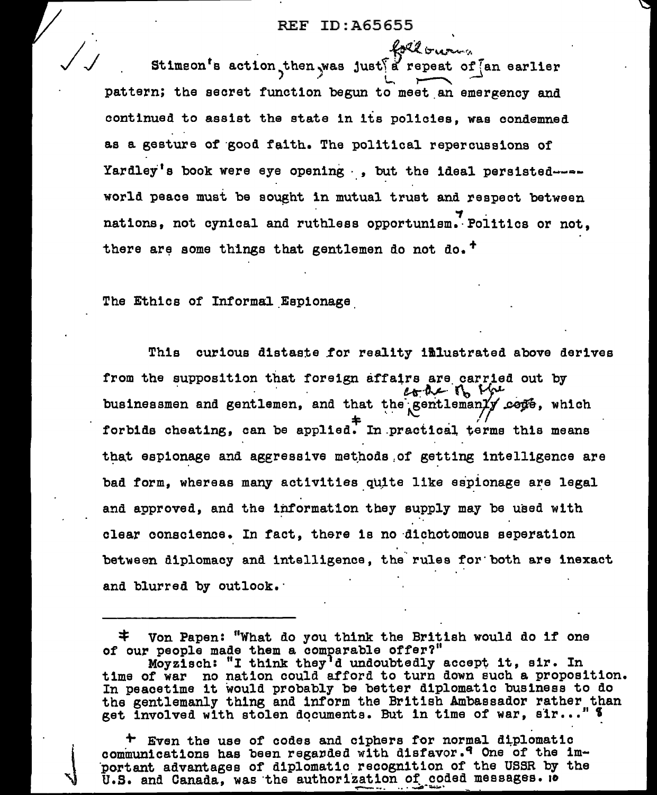loll treasure Stimson's action then was just a repeat of an earlier pattern; the secret function begun to meet an emergency and continued to assist the state in its policies. was condemned as a gesture of good faith. The political repercussions of Yardley's book were eye opening, , but the ideal persistedworld peace must be sought in mutual trust and respect between nations, not cynical and ruthless opportunism. Politics or not. there are some things that gentlemen do not do.<sup>+</sup>

The Ethics of Informal Espionage

Thia curious distaste for reality imlustrated above derives from the supposition that foreign affairs are carried out by cone of the businessmen and gentlemen, and that the gentlemanly cope, which forbids cheating, can be applied. In practical terms this means that espionage and aggressive methods of getting intelligence are bad form, whereas many activities quite like espionage are legal and approved, and the information they supply may be used with clear conscience. In fact, there is no dichotomous seperation between diplomacy and intelligence, the rules for both are inexact and blurred by outlook.

+ Even the use of codes and ciphers for normal diplomatic communications has been regarded with disfavor.<sup>9</sup> One of the important advantages of diplomatic recognition of the USSR by the U.S. and Canada, was the authorization of coded messages. 10

<sup>≭.</sup> Von Papen: "What do you think the British would do if one of our people made them a comparable offer?"

Moyzisch: "I think they'd undoubtedly accept it, sir. In<br>time of war no nation could afford to turn down such a proposition. In peacetime it would probably be better diplomatic business to do the gentlemanly thing and inform the British Ambassador rather than get involved with stolen documents. But in time of war, sir..." \$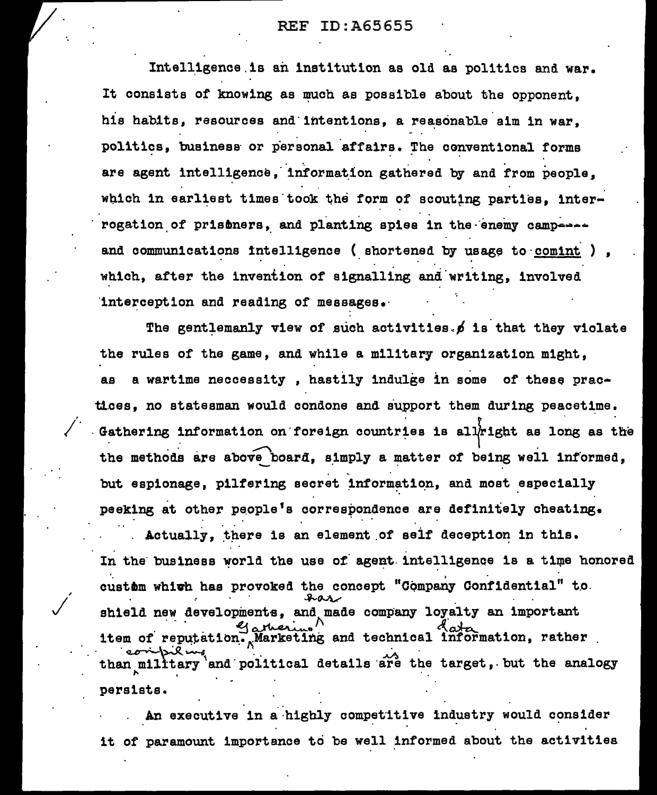Intelligence is an institution as old as politics and war. It consists of knowing as much as possible about the opponent. his habits, resources and intentions, a reasonable aim in war. politics, business or personal affairs. The conventional forms are agent intelligence, information gathered by and from people. which in earliest times took the form of scouting parties. interrogation of prisoners, and planting spies in the enemy camperate and communications intelligence (shortened by usage to comint) which. after the invention of signalling and writing, involved interception and reading of messages.

The gentlemanly view of such activities. of is that they violate the rules of the game, and while a military organization might. a wartime neccessity, hastily indulge in some of these pracaa tices, no statesman would condone and support them during peacetime. Gathering information on foreign countries is allright as long as the the methods are above board, simply a matter of being well informed, but espionage, pilfering secret information, and most especially peeking at other people's correspondence are definitely cheating.

Actually, there is an element of self deception in this. In the business world the use of agent intelligence is a time honored custim which has provoked the concept "Company Confidential" to shield new developments, and made company loyalty an important item of reputation. Marketing and technical information, rather than military and political details are the target, but the analogy persists.

An executive in a highly competitive industry would consider it of paramount importance to be well informed about the activities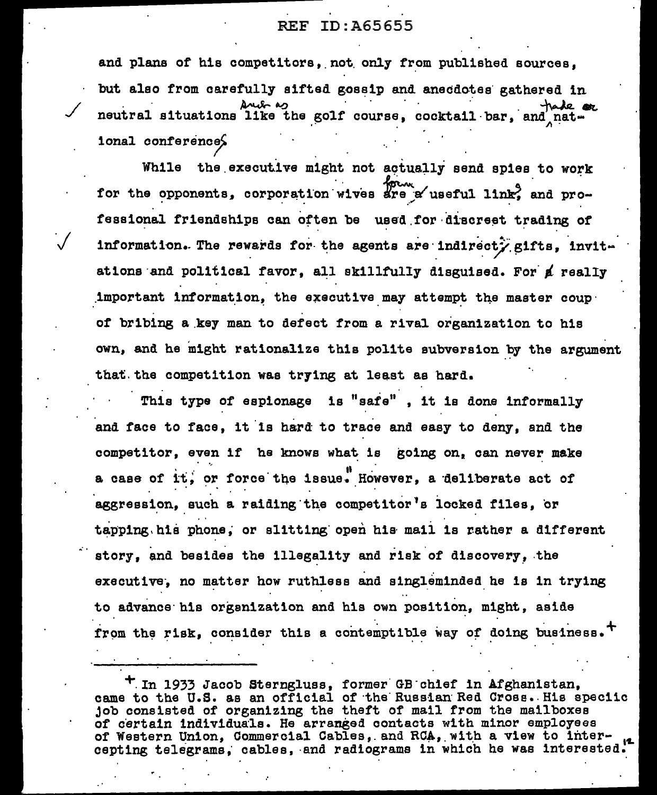and plans of his competitors, not only from published sources, but also from carefully sifted gossip and anecdotes gathered in Arely as tade or neutral situations like the golf course, cocktail bar, and national conference?

While the executive might not actually send spies to work for the opponents, corporation wives are a useful link, and professional friendships can often be used for discreet trading of information. The rewards for the agents are indirecty gifts, invitations and political favor, all skillfully disguised. For a really important information, the executive may attempt the master coupof bribing a key man to defect from a rival organization to his own, and he might rationalize this polite subversion by the argument that the competition was trying at least as hard.

This type of espionage is "safe", it is done informally and face to face, it is hard to trace and easy to deny, and the competitor, even if he knows what is going on, can never make a case of it, or force the issue. However, a deliberate act of aggression, such a raiding the competitor's locked files. or tapping his phone, or slitting open his mail is rather a different story, and besides the illegality and risk of discovery, the executive, no matter how ruthless and singleminded he is in trying to advance his organization and his own position, might, aside from the risk, consider this a contemptible way of doing business.<sup>+</sup>

<sup>+</sup> In 1933 Jacob Sterngluss, former GB chief in Afghanistan, came to the U.S. as an official of the Russian Red Cross. His speciic job consisted of organizing the theft of mail from the mailboxes of certain individuals. He arranged contacts with minor employees of Western Union, Commercial Cables, and RCA, with a view to intercepting telegrams, cables, and radiograms in which he was interested.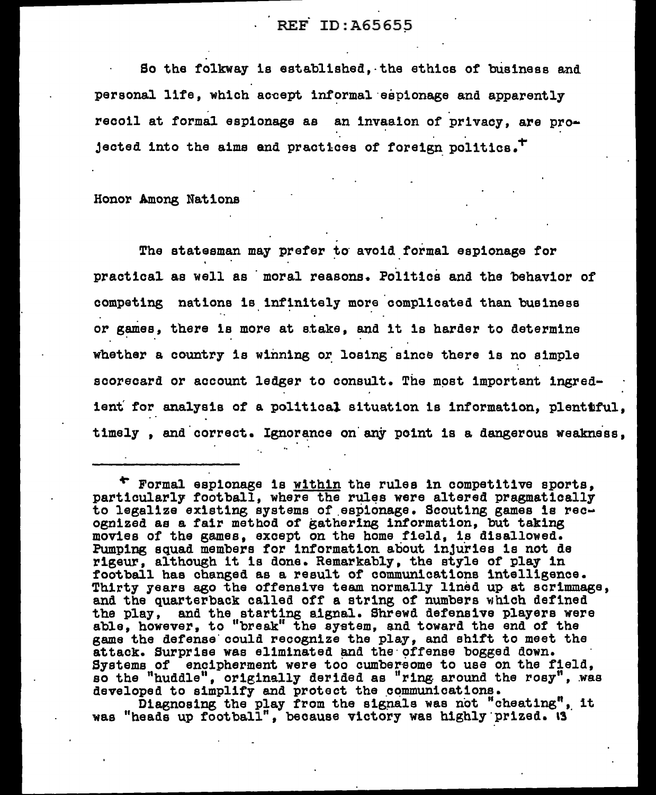So the folkway is established. the ethics of business and personal life, which accept informal espionage and apparently recoil at formal espionage as  $~\,$  an invasion of privacy, are projected into the aims and practices of foreign politics. $^{\top}$ 

Honor Among Nations

The statesman may prefer to avoid formal espionage for practical as well as moral reasons. Politics and the behavior of competing nations is infinitely more complicated than business or games, there is more at stake, and it is harder to determine whether a country is winning or losing since there is no simple scorecard or account ledger to consult. The most important ingredient for analysis of a political situation is information, plentiful, timely, and correct. Ignorance on any point is a dangerous weakness,

Diagnosing the play from the signals was not "cheating". it was "heads up football", because victory was highly prized. I

<sup>~</sup>Formal espionage is within the rules in competitive sports, particularly football, where the rtµ~s were altered pragmatically to legalize existing systems of espionage. Scouting games is rec-<br>ognized as a fair method of gathering information, but taking movies of the games, except on the home field, is disallowed. Pumping squad members for information about injuries is not de rigeur, although it is done. Remarkably, the style of play in football has changed as a result of communications intelligence. Thirty years ago the offensive team normally lined up at scrimmage,<br>and the quarterback called off a string of numbers which defined the play, and the starting signal. Shrewd defensive players were able, however, to "break" the system, and toward the end of the game the defense could recognize the play, and shift to meet the attack. Surprise was eliminated and the offense bogged down. Systems of encipherment were too cumbersome to use on the field. so the "huddle", originally derided as "ring around the rosy", was developed to simplify and protect the communications.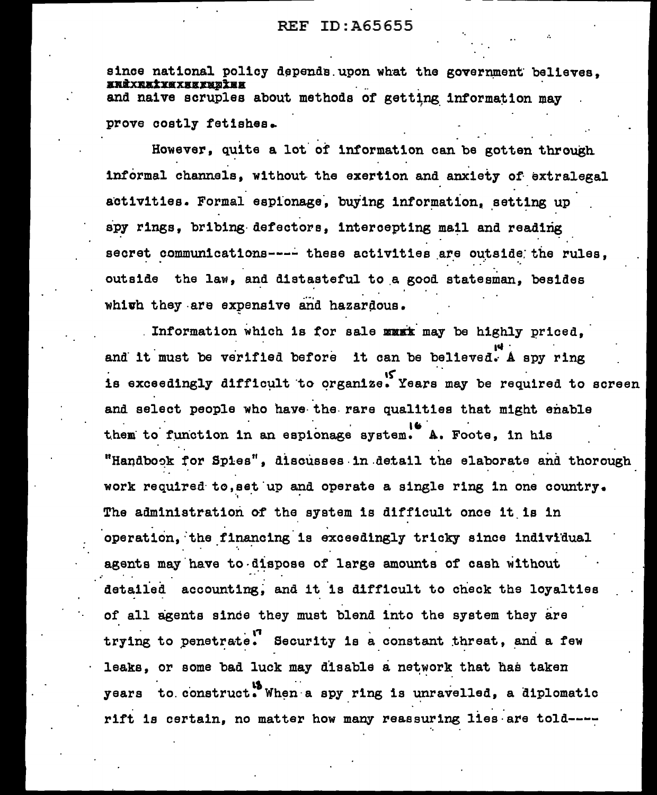since national policy depends upon what the government believes, <u>xnàxnatyaxxaxwatax</u> and naive scruples about methods of getting information may prove costly fetishes.

However, quite a lot of information can be gotten through informal channels. without the exertion and anxiety of extralegal activities. Formal espionage, buying information, setting up spy rings, bribing defectors, intercepting mail and reading secret communications---- these activities are outside the rules, outside the law, and distasteful to a good statesman, besides whith they are expensive and hazardous.

Information which is for sale must may be highly priced. and it must be verified before it can be believed. A spy ring is exceedingly difficult to organize. Years may be required to screen and select people who have the rare qualities that might enable them to function in an espionage system. A. Foote, in his "Handbook for Spies", discusses in detail the elaborate and thorough work required to, set up and operate a single ring in one country. The administration of the system is difficult once it is in operation, the financing is exceedingly tricky since individual agents may have to dispose of large amounts of cash without detailed accounting, and it is difficult to check the loyalties of all agents since they must blend into the system they are trying to penetrate. Security is a constant threat, and a few leaks, or some bad luck may disable a network that has taken years to construct. When a spy ring is unravelled, a diplomatic rift is certain, no matter how many reassuring lies are told----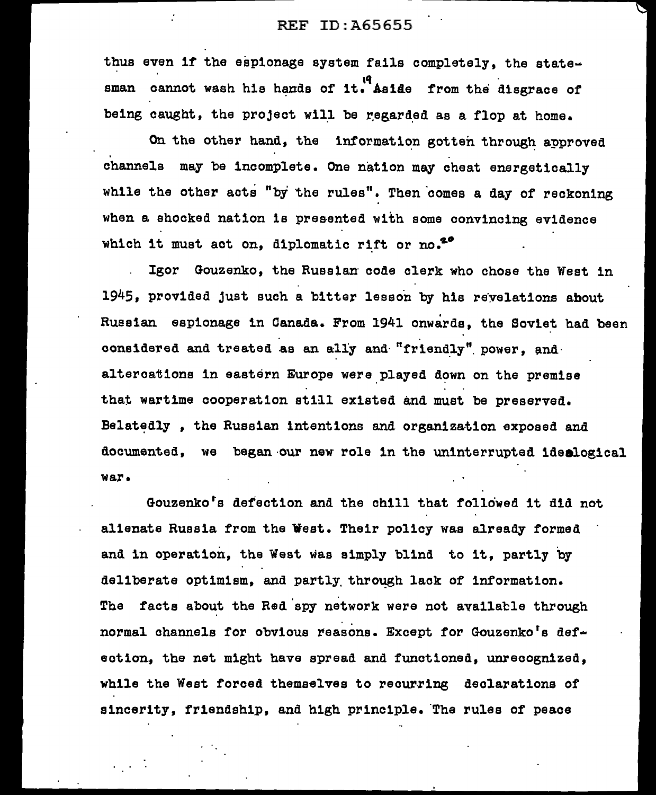thus even if the espionage system fails completely, the statesman cannot wash his hands of it. Aside from the disgrace of being caught, the project will be regarded as a flop at home.

On the other hand, the information gotten through approved channels may be incomplete. One nation may cheat energetically while the other acts "by the rules". Then comes a day of reckoning when a shocked nation is presented with some convincing evidence which it must act on, diplomatic rift or no.<sup>20</sup>

Igor Gouzenko, the Russian code clerk who chose the West in 1945, provided just such a bitter lesson by his revelations about Russian espionage in Canada. From 1941 onwards, the Soviet had been considered and treated as an ally and "friendly" power, and altercations in eastern Europe were played down on the premise that wartime cooperation still existed and must be preserved. Belatedly, the Russian intentions and organization exposed and documented, we began·our new role in the uninterrupted idealogical war.

Gouzenko<sup>t</sup>s defection and the chill that followed it did not alienate Russia from the West. Their policy was already formed and in operation, the West was simply blind to it, partly by deliberate optimism, and partly through lack of information. The facts about the Red spy network were not availatle through normal channels for obvious reasons. Except for Gouzenko's defection, the net might have spread and functioned, unrecognized, while the West forced themselves to recurring declarations of sincerity, friendship, and high principle. The rules of peace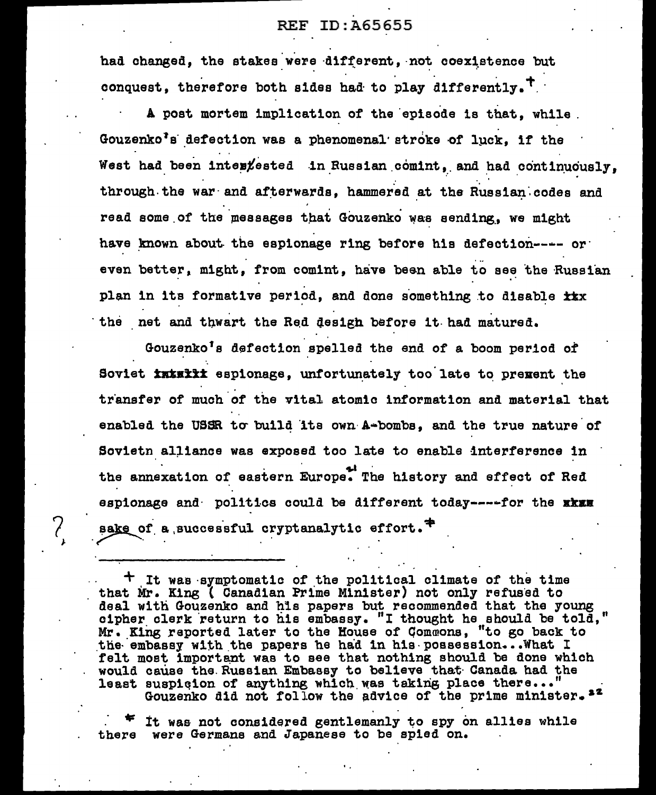had changed, the stakes were different, not coexistence but conquest, therefore both sides had to play differently.<sup>T</sup>

A post mortem implication of the episode is that. while. Gouzenko's defection was a phenomenal stroke of luck. if the West had been interfested in Russian comint, and had continuously, through the war and afterwards, hammered at the Russian codes and read some of the messages that Gouzenko was sending, we might have known about the espionage ring before his defection---- or even better, might, from comint, have been able to see the Russian plan in its formative period, and done something to disable ixx the net and thwart the Red design before it had matured.

Gouzenko's defection spelled the end of a boom period of Soviet initial espionage. unfortunately too late to prement the transfer of much of the vital atomic information and material that enabled the USSR to build its own A-bombs, and the true nature of Sovietn alliance was exposed too late to enable interference in the annexation of eastern Europe. The history and effect of Red espionage and politics could be different today----for the xkxx sake of a successful cryptanalytic effort.<sup>7</sup>

 $\mathcal{E}_{\mathbf{A}}$ 

<sup>†</sup> It was symptomatic of the political climate of the time that Mr. King ( Canadian Prime Minister) not only refused to deal with Gouzenko and his papers but recommended that the young cipher clerk return to his embassy. "I thought he should be told,"<br>Mr. King reported later to the House of Commons, "to go back to the embassy with the papers he had in his possession... What I felt most important was to see that nothing should be done which would cause the Russian Embassy to believe that Canada had the least suspicion of anything which was taking place there..." Gouzenko did not follow the advice of the prime minister. 22

It was not considered gentlemanly to spy on allies while there were Germans and Japanese to be spied on.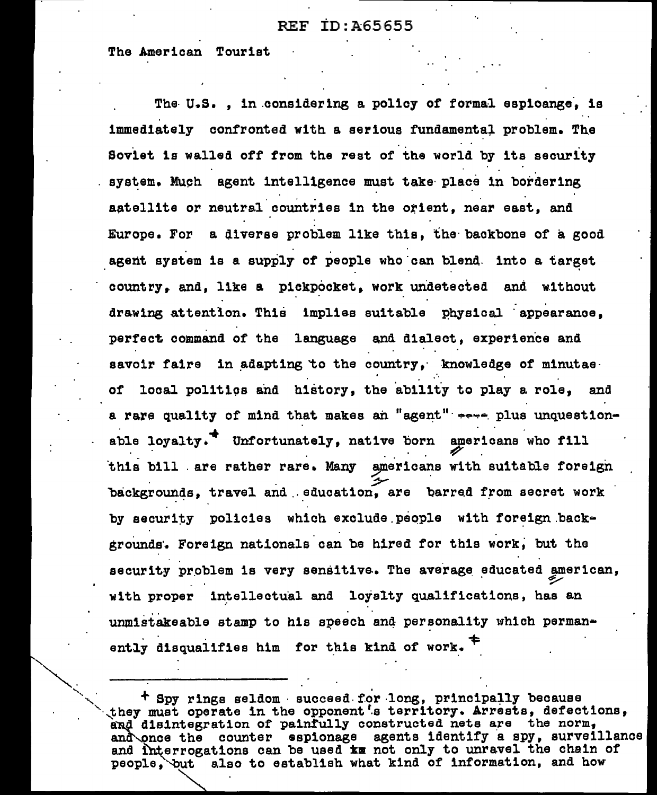The American Tourist

The U.S. . in considering a policy of formal espicange. is immediately confronted with a serious fundamental problem. The Soviet is walled off from the rest of the world by its security system. Much agent intelligence must take place in bordering aatellite or neutral countries in the orient, near east, and Europe. For a diverse problem like this, the backbone of a good agent system is a supply of people who can blend. into a target country. and. like a pickpocket. work undetected and without drawing attention. This implies suitable physical appearance, perfect command of the language and dialect, experience and savoir faire in adapting to the country, knowledge of minutae. of local politics and history, the ability to play a role, and a rare quality of mind that makes an "agent" sere plus unquestionable loyalty.<sup>4</sup> Unfortunately, native born americans who fill this bill are rather rare. Many americans with suitable foreign backgrounds, travel and education, are barred from secret work by security policies which exclude people with foreign backgrounds. Foreign nationals can be hired for this work, but the security problem is very sensitive. The average educated american, with proper intellectual and loyalty qualifications, has an unmistakeable stamp to his speech and personality which permanently disqualifies him for this kind of work.

+ Spy rings seldom succeed for long, principally because they must operate in the opponent's territory. Arrests, defections, and disintegration of painfully constructed nets are the norm, and once the counter espionage agents identify a spy, surveillance and interrogations can be used in not only to unravel the chain of people, but also to establish what kind of information, and how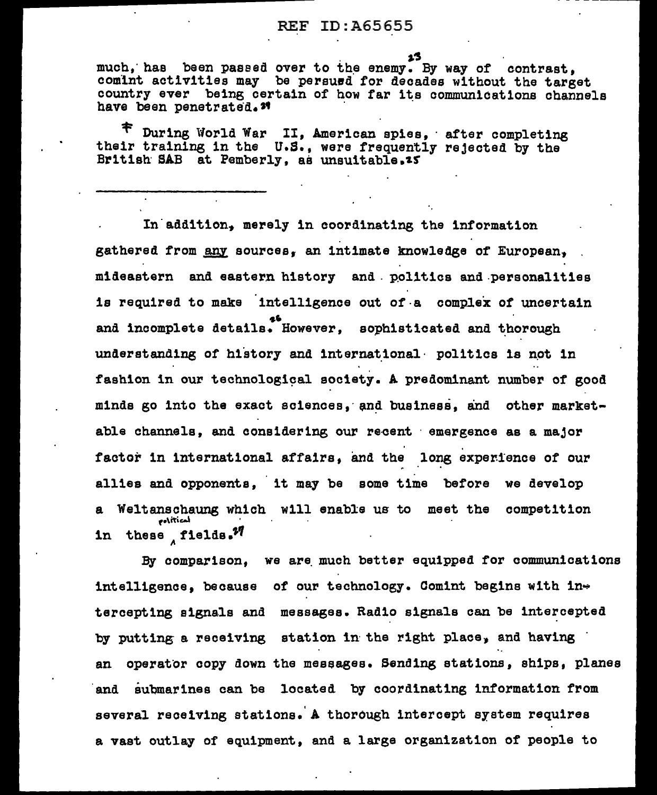as has been passed over to the enemy. By way of contrast, comlnt activities may be pereued for decades without the target country ever being certain of how far its communications channels<br>have been penetrated.<sup>34</sup>

 $\tau$  During World War II, American spies, after completing their training in the U.S., were frequently rejected by the British SAB at Pemberly, as unsuitable.25

In addition, merely in coordinating the information gathered from any sources, an intimate knowledge of European. mideastern and eastern history and politics and personalities is required to make intelligence out of-a complex of uncertain .... and incomplete details. However, sophist1eated and ~borough understanding of history and international · politics is not in fashion in our technological society. A predominant number of good minds go into the exact sciences, and business, and other marketable channels, and considering our recent · emergence as a major factor in international affairs, and the long experience of our allies and opponents, it may be some time before we develop a Weltanschaung which will enable us to meet the competition  $extient$ in these fields. $^{27}$ 

By comparison. we are much better equipped for communications intelligence, because of our technology. Comint begins with intercepting signals and messages. Radio signals can be intercepted by putting a receiving station in the right place, and having an operator copy down the messages. Sending stations, ships, planes and submarines can be located by coordinating information from severa1 receiving stations. A thorough intercept system requires a vast outlay of equipment, and a large organization of people to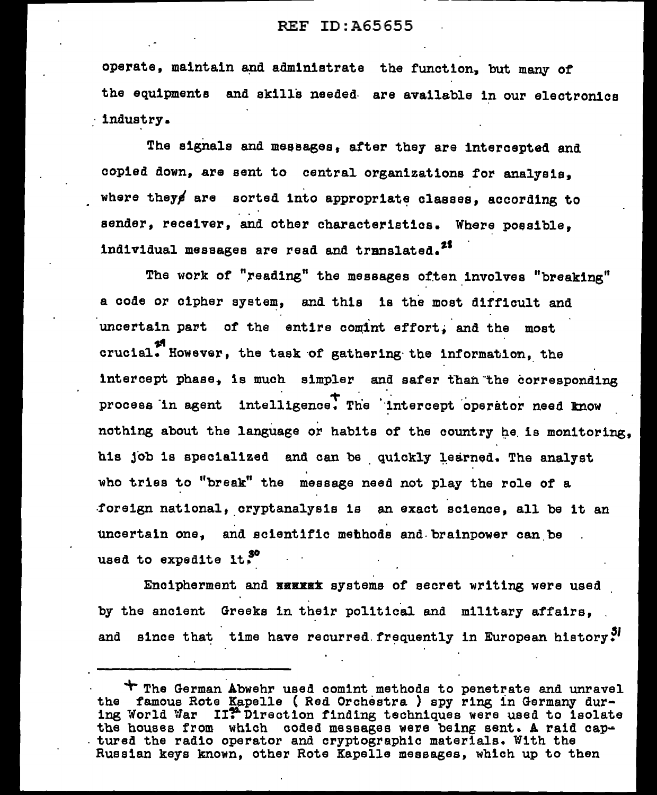operate, maintain and administrate the function, but many of the equipments and skills needed. are available in our electronics *:* industry.

The signals and messages, after they are intercepted and copied down, are sent to central organizations for analysis, where they are sorted into appropriate classes, according to sender, receiver, and other characteristics. Where possible, individual messages are read and translated.<sup>25</sup>

The work of "reading" the messages often involves "breaking" a code or cipher system, and this is the most difficult and uncertain part of the entire comint effort, and the most crucial. However, the task of gathering the information, the intercept phase. is much simpler and safer than the corresponding process in agent intelligence. The intercept operator need know nothing about the language or habits of the country he is monitoring, his job is specialized and can be quickly learned. The analyst who tries to "break" the message need not play the role of a foreign national, cryptanalysis is an exact science, all be it an uncertain one, and scientific methods and brainpower can be used to expedite it.<sup>30</sup>

Encipherment and **BEEKEK** systems of secret writing were used by the ancient Greeks in their political and military affairs. and since that time have recurred frequently in European history ${}^{5}$ 

'+-The German.Abwehr used comint methods to penetrate and unravel the famous Rote Kapelle ( Red Orchestra ) spy ring in Germany during World War II?"Direction finding techniques were used to isolate the houses from which coded messages were being sent. A raid cap-<br>. tured the radio operator and cryptographic materials. With the Russian keys known, other Rote Kapelle messages, which up to then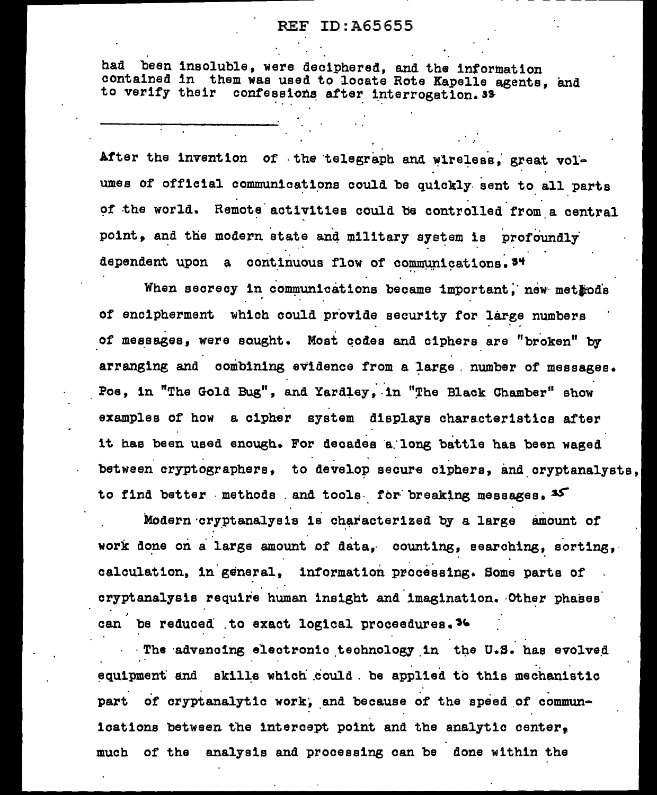had been insoluble, were deciphered, and the information contained in them was used to locate Rote Kapelle agents, and to verify their confessions after interrogation. 33

After the invention of the telegraph and wireless, great volumes of official communications could be quickly sent to all parts of the world. Remote activities could be controlled from a central point, and the modern state and military system is profoundly dependent upon a continuous flow of communications. 34

When secrecy in communications became important, new methods of encipherment which could provide security for large numbers of messages, were sought. Most codes and ciphers are "broken" by arranging and combining evidence from a large number of messages. Poe, in "The Gold Bug", and Yardley, in "The Black Chamber" show examples of how a cipher system displays characteristics after it has been used enough. For decades a long battle has been waged between cryptographers, to develop secure ciphers, and cryptanalysts, to find better methods and tools for breaking messages. 35

Modern cryptanalysis is characterized by a large amount of work done on a large amount of data, counting, searching, sorting, calculation, in general, information processing. Some parts of cryptanalysis require human insight and imagination. Other phases can be reduced to exact logical proceedures. 36

The advancing electronic technology in the U.S. has evolved equipment and skills which could. be applied to this mechanistic part of cryptanalytic work, and because of the speed of communications between the intercept point and the analytic center. much of the analysis and processing can be done within the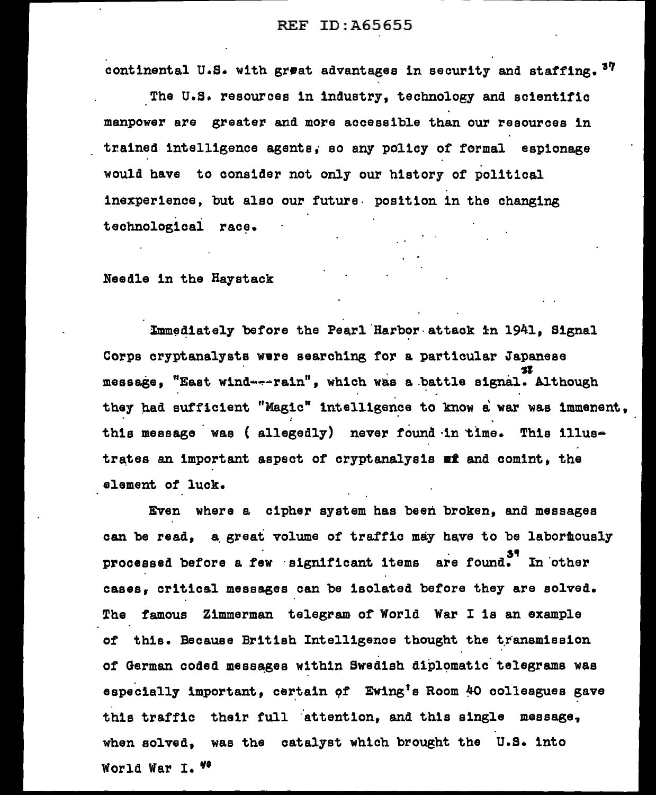continental U.S. with great advantages in security and staffing.  $37$ 

-- - ---------------

The U.S. resources in industry, technology and scientific manpower are greater and more accessible than our resources in trained intelligence agents, so any policy of formal espionage would have to consider not only our history of political inexperience, but also our future. position in the changing technological race.

Needle in the Haystack

Immediately before the Pearl Harbor attack in 1941. Signal Corps cryptanalysts were searching for a particular Japanese 3I<br>message, "East wind---rain", which was a battle signal. Although they had sufficient "Magic" intelligence to know a war was immenent, this message was ( allegedly) never found in time. This illustrates an important aspect of cryptanalysis  $x$  and comint, the element of luck.

Even where a cipher system has been broken, and messages can be read, a great volume of traffic may have to be labor mously processed before a few significant items are found. In other cases, critical messages can be isolated before they are solved. The famous Zimmerman telegram of World War I is an example of this. Because British Intelligence thought the transmission of German coded messages within Swedish diplomatic telegrams was especially important, certain of Ewing<sup>1</sup>s Room 40 colleagues gave this traffic their full attention, and this single message, when solved, was the catalyst which brought the U.S. into World War I. "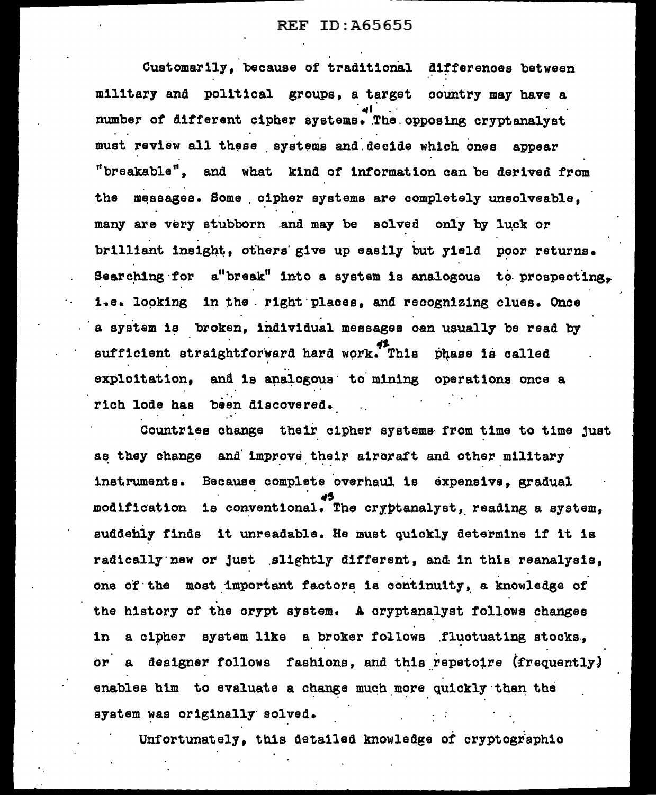Customarily. because of traditional differences between military and political groups, a target country may have a number of different cipher systems. The opposing cryptanalyst must review all these systems and decide which ones appear "breakable", and what kind of information can be derived from the messages. Some cipher systems are completely unsolveable. many are very stubborn and may be solved only by luck or brilliant insight, others give up easily but yield poor returns. Searching for a"break" into a system is analogous to prospecting. 1.e. looking in the right places, and recognizing clues. Once a system is broken, individual messages can usually be read by  $\frac{42}{\sqrt{2}}$ . This phase is called exploitation, and is analogous to mining operations once a rich lode has been discovered.

Countries change their cipher systema from time to time just as they change and improve their aircraft and other military instruments. Because complete 'overhaul is expensive, gradual .,., modification is conventional. The cryptanalyst, reading a system, euddebly finds it unreadable. He must quickly determine if it 1s radically new or just slightly different, and in this reanalysis, one of the most important factors is continuity, a knowledge of the history of the crypt system. A cryptanalyst follows changes in a cipher system like a broker follows fluctuating stocks, or a designer follows fashions, and this repetoire (frequently) enables him to evaluate a change much more quickly than the system was originally solved.

Unfortunately, this detailed knowledge of cryptographic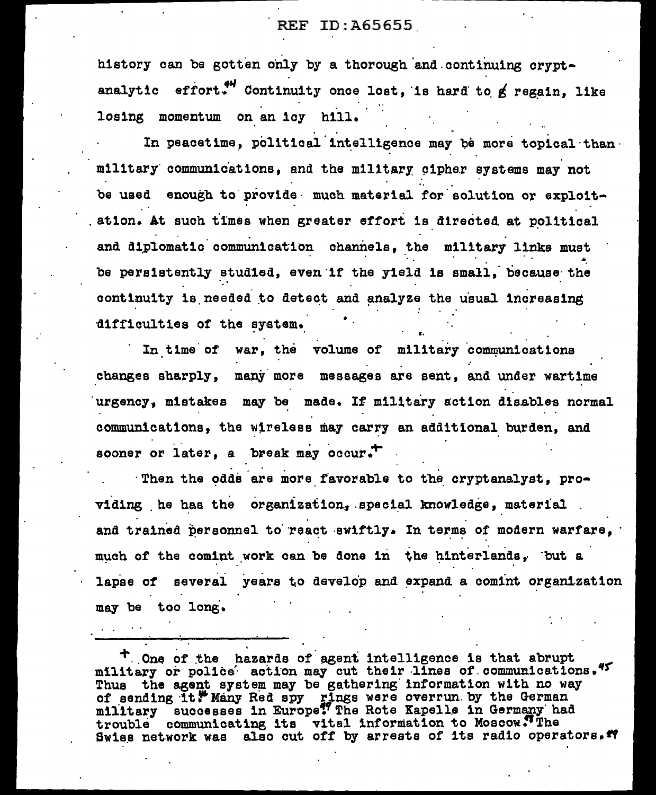history can be gotten only by a thorough and continuing cryptanalytic effort." Continuity once lost, is hard to g regain, like losing momentum on an icy hill.

In peacetime, political intelligence may be more topical than military communications, and the military cipher systems may not be used enough to provide much material for solution or exploitation. At such times when greater effort is directed at political and diplomatic communication channels, the military links must be persistently studied, even if the yield is small. because the continuity is needed to detect and analyze the usual increasing difficulties of the system.

In time of war, the volume of military communications changes sharply, many more messages are sent, and under wartime urgency, mistakes may be made. If military action disables normal communications, the wireless may carry an additional burden, and sooner or later, a break may occur.

Then the odds are more favorable to the cryptanalyst, providing he has the organization, special knowledge, material and trained personnel to react swiftly. In terms of modern warfare, much of the comint work can be done in the hinterlands, but a lapse of several years to develop and expand a comint organization may be too long.

T One of the hazards of agent intelligence is that abrupt military or police action may cut their lines of communications." Thus the agent system may be gathering information with no way of sending it. Many Red spy rings were overrun by the German military successes in Europe? The Rote Kapelle in Germany had trouble communicating its vital information to Moscow. The Swiss network was also cut off by arrests of its radio operators."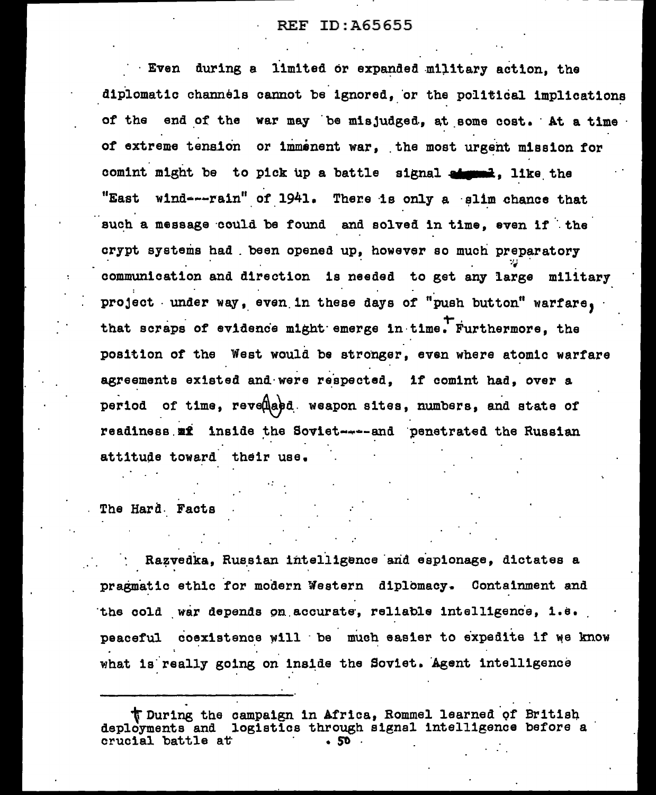Even during a limited or expanded military action, the diplomatic channels cannot be ignored, or the political implications of the end of the war may be misjudged, at some cost. At a time of extreme tension or immenent war, the most urgent mission for comint might be to pick up a battle signal at the the the "East wind- $-$ -rain" of 1941. There is only a slim chance that such a message could be found and solved in time, even if the crypt systems had . been opened up, however so much preparatory :·-; communication and direction is needed to get any large military project . under way, even in these days of "push button" warfare, that scraps of evidence might emerge in time. Furthermore, the position of the West would be stronger, even where atomic warfare agreements existed and were respected. if comint had, over a period of time, reved and weapon sites, numbers, and state of readiness mi inside the Soviet----and penetrated the Russian attitude toward their use.

The Hard. Facts

Razvedka, Russian intelligence and espionage, dictates a pragmatic ethic for modern Western diplomacy. Containment and the cold war depends on accurate, reliable intelligence, i.e. peaceful coexistence will be much easier to expedite if we know what is really going on inside the Soviet. Agent intelligence

t During the campaign in Africa, Rommel learned of British deployments and logistics through signal intelligence before a crucial battle at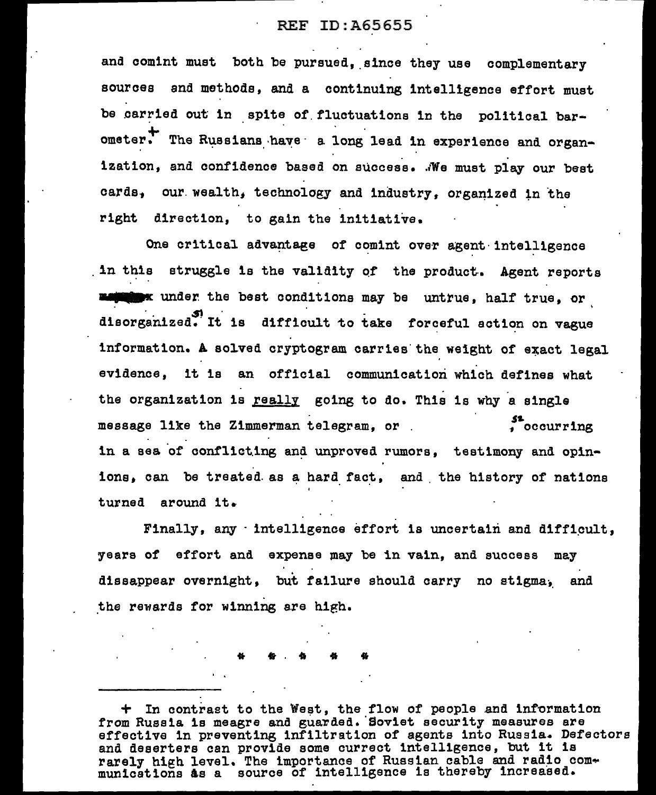and comint must both be pursued, since they use complementary sources and methods, and a continuing intelligence effort must be carried out in spite of fluctuations in the political barometer. The Russians have a long lead in experience and organization, and confidence based on success. We must play our best cards, our wealth, technology and industry, organized in the right direction, to gain the initiative.

One critical advantage of comint over agent intelligence in this struggle is the validity of the product. Agent reports maintant under the best conditions may be untrue, half true, or disorganized. It is difficult to take forceful action on vague information. A solved cryptogram carries the weight of exact legal evidence, it is an official communication which defines what the organization is really going to do. This is why a single . occurring message like the Zimmerman telegram, or in a sea of conflicting and unproved rumors, testimony and opinions, can be treated as a hard fact, and the history of nations turned around it.

Finally, any intelligence effort is uncertain and difficult, years of effort and expense may be in vain, and success may dissappear overnight, but failure should carry no stigma, and the rewards for winning are high.

+ In contrast to the West, the flow of people and information from Russia is meagre and guarded. Soviet security measures are effective in preventing infiltration of agents into Russia. Defectors and deserters can provide some currect intelligence, but it is rarely high level. The importance of Russian cable and radio communications as a source of intelligence is thereby increased.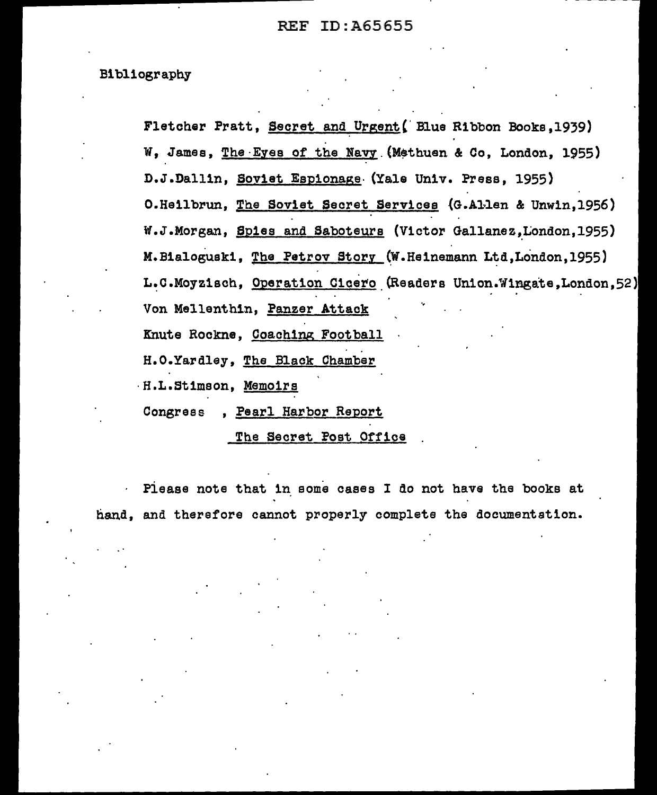#### Bibliography

Fletcher Pratt, Secret and Urgent(' Blue Ribbon Books,1939) W, James, The Eyes of the Navy (Methuen & Co, London, 1955) D.J.Dall1n, Soviet Espionage- (Yale Univ. Press, 1955) O.Heilbrun, The Soviet Secret Services (G.Allen & Unwin,1956) W.J.Morgan, Spies and Saboteurs (Victor Gallanez,London,1955) M. Bialogusk1, The Petrov Story (W. Heinemann Ltd, London, 1955) L.C.Moyzisch, Operation Cicero (Readers Union .Wingate, London, 52) Von Mellenthin, Panzer Attack Knute Rockne, Coaching Football H.O.Yardley, The Black Chamber ·H.L.Stimson, Memoirs Congress , Pearl Harbor Report

The Secret Post Office

Piease note that in some cases I do not have the books at  $\mathcal{L}^{\text{max}}$ hand, and therefore cannot properly complete the documentation.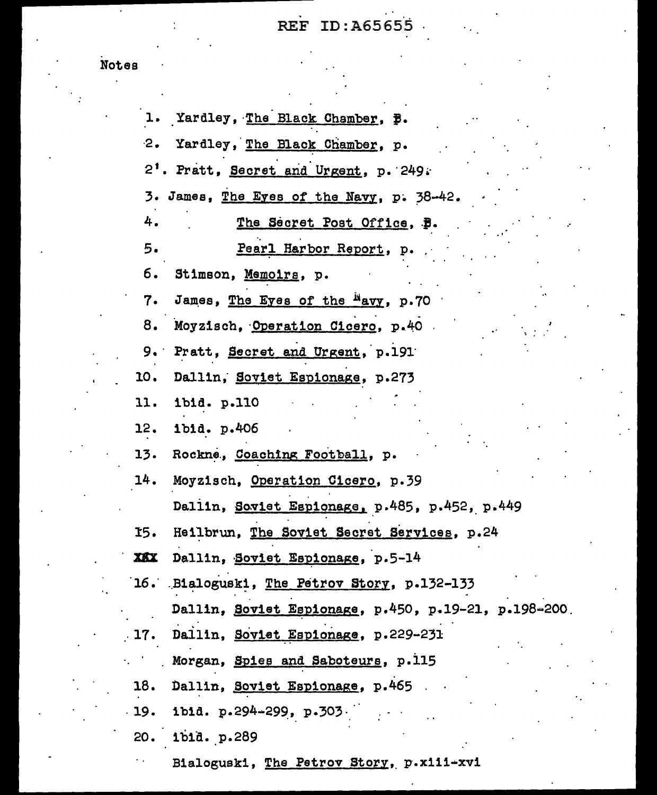## . REF ID: A656s's

|     | 1. Yardley, The Black Chamber, p.                    |
|-----|------------------------------------------------------|
|     | 2. Yardley, The Black Chamber, p.                    |
|     | 2'. Pratt, Secret and Urgent, p. 249.                |
|     | 3. James, The Eyes of the Navy, p. 38-42.            |
| 4.  | The Secret Post Office, B.                           |
| 5.  | Pearl Harbor Report, p.                              |
| б.  | Stimson, Memoirs, p.                                 |
| 7.  | James, The Eyes of the Mavy, p.70                    |
|     | 8. Moyzisch, Operation Cicero, p.40                  |
|     | 9. Pratt, Secret and Urgent, p.191                   |
| 10. | Dallin, Soviet Espionage, p.273                      |
| 11. | ibid. p.110                                          |
| 12. | ibid. p.406                                          |
|     | 13. Rockne, Coaching Football, p.                    |
| 14. | Moyzisch, Operation Cicero, p.39                     |
|     | Dallin, Soviet Espionage, p.485, p.452, p.449        |
| 15. | Heilbrun, The Soviet Secret Services, p.24           |
| XXX | Dallin, Soviet Espionage, p.5-14                     |
|     | 16. Bialoguski, The Petrov Story, p.132-133          |
|     | Dallin, Soviet Espionage, p.450, p.19-21, p.198-200. |
|     | 17. Dallin, Soviet Espionage, p.229-231              |
|     | Morgan, Spies and Saboteurs, p.115                   |
|     | 18. Dallin, Soviet Espionage, p.465                  |
|     | 19. ibid. p.294-299, p.303                           |
|     | 20. 1bid. p.289                                      |
|     |                                                      |

Bialogusk1, The Petrov Story, p.xiii-xvi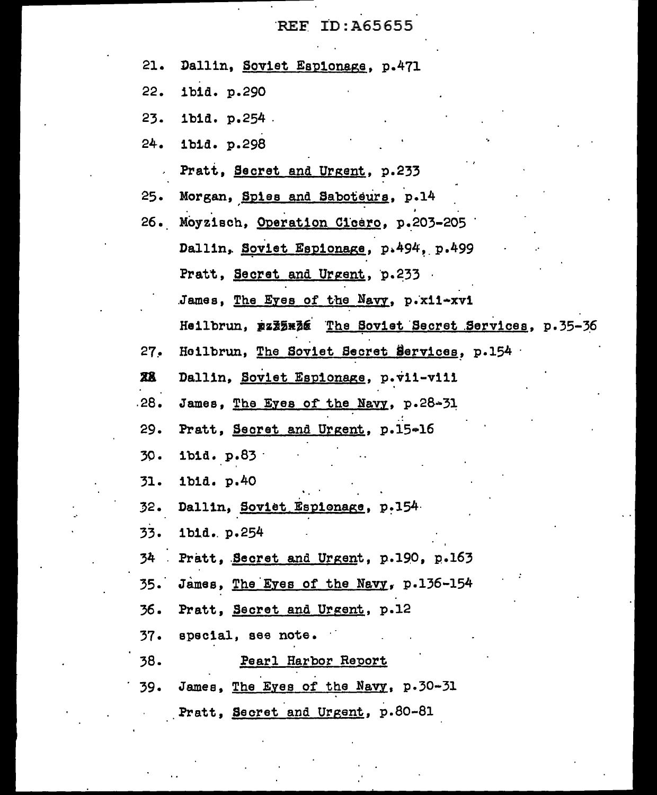$\overline{\phantom{a}}$ 

 $\ddot{\phantom{0}}$ 

 $\ddot{\phantom{0}}$ 

 $\overline{\phantom{a}}$ 

 $\ddot{\phantom{1}}$  .

 $\sigma_{\rm c}$ 

| 21.       | Dallin, Soviet Espionage, p.471                       |
|-----------|-------------------------------------------------------|
| 22.       | ibid. p.290                                           |
| 23.       | ibid. p.254.                                          |
| 24.       | 1bid. p.298                                           |
|           | Pratt, Secret and Urgent, p.233                       |
| 25.       | Morgan, Spies and Saboteurs, p.14                     |
|           | 26. Moyzisch, Operation Cicero, p.203-205             |
|           | Dallin, Soviet Espionage, p.494, p.499                |
|           | Pratt, Secret and Urgent, p.233                       |
|           | James, The Eyes of the Navy, p.x11-xvi                |
|           | Heilbrun, pzz5x36 The Soviet Secret Services, p.35-36 |
| 27.       | Heilbrun, The Soviet Secret Services, p.154           |
| <b>28</b> | Dallin, Soviet Espionage, p.vii-viii                  |
| .28.      | James, The Eyes of the Navy, p.28-31                  |
| 29.       | Pratt, Secret and Urgent, p.15-16                     |
| 30.       | ibid. p.83                                            |
| 31.       | ibid. p.40                                            |
| 32.       | Dallin, Soviet Espionage, p.154                       |
|           | 33. ibid. p.254                                       |
|           | 34 Pratt, Secret and Urgent, p.190, p.163             |
|           | 35. James, The Eyes of the Navy, p.136-154            |
|           | 36. Pratt, Secret and Urgent, p.12                    |
|           | 37. special, see note.                                |
| 38.       | Pearl Harbor Report                                   |
|           | 39. James, The Eyes of the Navy, p.30-31              |
|           | Pratt, Secret and Urgent, p.80-81                     |

 $\frac{1}{2}$